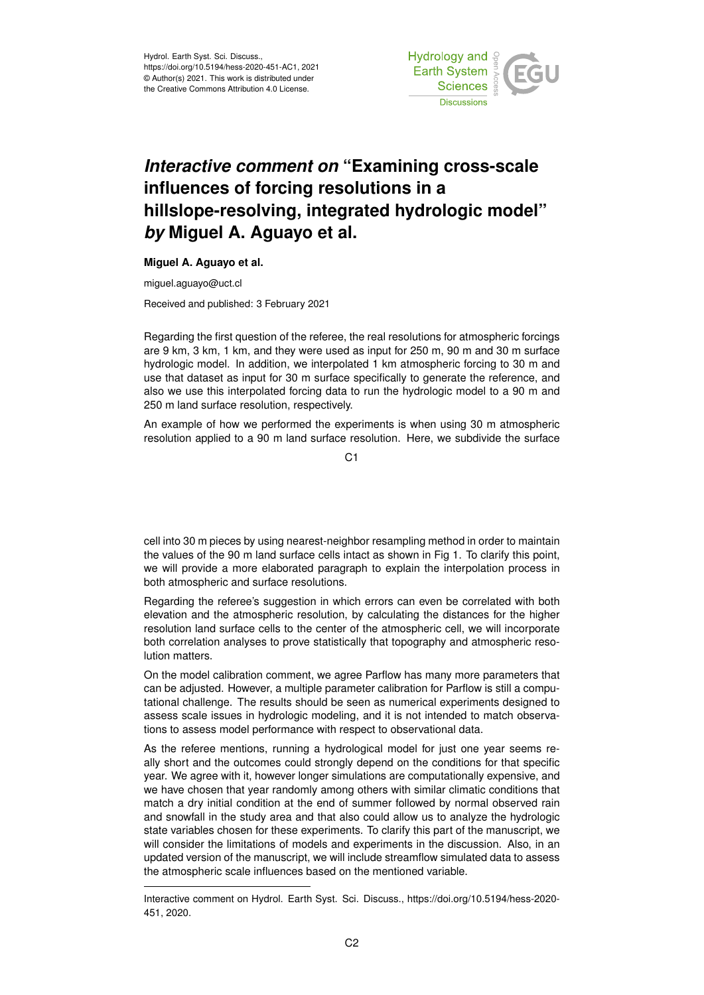

## *Interactive comment on* **"Examining cross-scale influences of forcing resolutions in a hillslope-resolving, integrated hydrologic model"** *by* **Miguel A. Aguayo et al.**

## **Miguel A. Aguayo et al.**

miguel.aguayo@uct.cl

Received and published: 3 February 2021

Regarding the first question of the referee, the real resolutions for atmospheric forcings are 9 km, 3 km, 1 km, and they were used as input for 250 m, 90 m and 30 m surface hydrologic model. In addition, we interpolated 1 km atmospheric forcing to 30 m and use that dataset as input for 30 m surface specifically to generate the reference, and also we use this interpolated forcing data to run the hydrologic model to a 90 m and 250 m land surface resolution, respectively.

An example of how we performed the experiments is when using 30 m atmospheric resolution applied to a 90 m land surface resolution. Here, we subdivide the surface

C1

cell into 30 m pieces by using nearest-neighbor resampling method in order to maintain the values of the 90 m land surface cells intact as shown in Fig 1. To clarify this point, we will provide a more elaborated paragraph to explain the interpolation process in both atmospheric and surface resolutions.

Regarding the referee's suggestion in which errors can even be correlated with both elevation and the atmospheric resolution, by calculating the distances for the higher resolution land surface cells to the center of the atmospheric cell, we will incorporate both correlation analyses to prove statistically that topography and atmospheric resolution matters.

On the model calibration comment, we agree Parflow has many more parameters that can be adjusted. However, a multiple parameter calibration for Parflow is still a computational challenge. The results should be seen as numerical experiments designed to assess scale issues in hydrologic modeling, and it is not intended to match observations to assess model performance with respect to observational data.

As the referee mentions, running a hydrological model for just one year seems really short and the outcomes could strongly depend on the conditions for that specific year. We agree with it, however longer simulations are computationally expensive, and we have chosen that year randomly among others with similar climatic conditions that match a dry initial condition at the end of summer followed by normal observed rain and snowfall in the study area and that also could allow us to analyze the hydrologic state variables chosen for these experiments. To clarify this part of the manuscript, we will consider the limitations of models and experiments in the discussion. Also, in an updated version of the manuscript, we will include streamflow simulated data to assess the atmospheric scale influences based on the mentioned variable.

Interactive comment on Hydrol. Earth Syst. Sci. Discuss., https://doi.org/10.5194/hess-2020- 451, 2020.